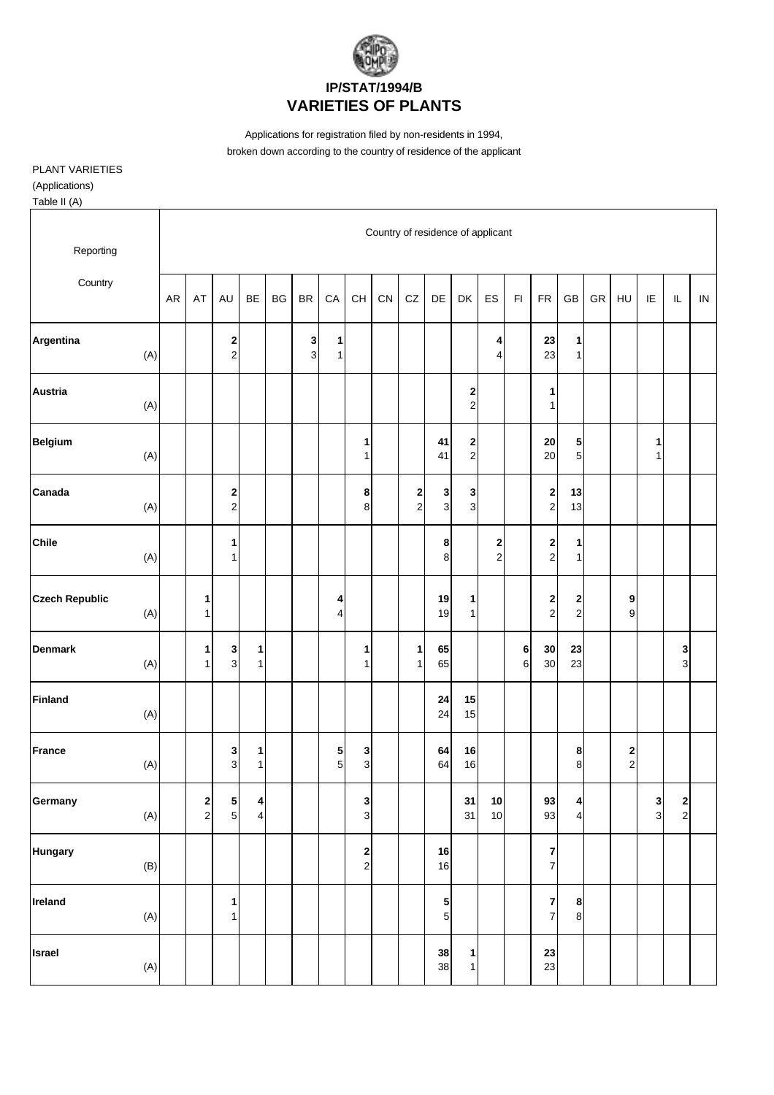

Applications for registration filed by non-residents in 1994, broken down according to the country of residence of the applicant

PLANT VARIETIES

(Applications)

Table II (A)

| Reporting                    |           |                                       |                       |                                    |    |               |                   |                                          |    |                                         |                   | Country of residence of applicant         |                     |               |                                        |                                |            |                                             |               |                                             |          |
|------------------------------|-----------|---------------------------------------|-----------------------|------------------------------------|----|---------------|-------------------|------------------------------------------|----|-----------------------------------------|-------------------|-------------------------------------------|---------------------|---------------|----------------------------------------|--------------------------------|------------|---------------------------------------------|---------------|---------------------------------------------|----------|
| Country                      | <b>AR</b> | AT                                    | AU                    | <b>BE</b>                          | BG | $\mathsf{BR}$ | CA                | $\mathsf{CH}% \left( \mathcal{M}\right)$ | CN | CZ                                      | DE                | DK                                        | ES                  | $\mathsf{FI}$ | ${\sf FR}$                             | GB                             | ${\sf GR}$ | HU                                          | IE            | $\mathsf{IL}$                               | $\sf IN$ |
| Argentina<br>(A)             |           |                                       | 2<br>2                |                                    |    | 3<br>3        | 1<br>$\mathbf{1}$ |                                          |    |                                         |                   |                                           | 4<br>4              |               | 23<br>23                               | 1<br>$\mathbf{1}$              |            |                                             |               |                                             |          |
| Austria<br>(A)               |           |                                       |                       |                                    |    |               |                   |                                          |    |                                         |                   | 2<br>$\mathbf 2$                          |                     |               | 1<br>$\mathbf{1}$                      |                                |            |                                             |               |                                             |          |
| <b>Belgium</b><br>(A)        |           |                                       |                       |                                    |    |               |                   | 1<br>1                                   |    |                                         | 41<br>41          | $\mathbf{2}$<br>$\mathbf{2}$              |                     |               | ${\bf 20}$<br>20                       | 5<br>5 <sub>5</sub>            |            |                                             | 1<br>1        |                                             |          |
| Canada<br>(A)                |           |                                       | 2<br>$\boldsymbol{2}$ |                                    |    |               |                   | 8<br>8                                   |    | $\overline{\mathbf{c}}$<br>$\mathbf{2}$ | 3<br>$\mathbf{3}$ | $\mathbf{3}$<br>$\ensuremath{\mathsf{3}}$ |                     |               | $\overline{\mathbf{c}}$<br>$\mathbf 2$ | 13<br>13                       |            |                                             |               |                                             |          |
| <b>Chile</b><br>(A)          |           |                                       | 1<br>$\mathbf{1}$     |                                    |    |               |                   |                                          |    |                                         | 8<br>8            |                                           | 2<br>$\overline{a}$ |               | $\boldsymbol{2}$<br>$\mathbf 2$        | 1<br>1                         |            |                                             |               |                                             |          |
| <b>Czech Republic</b><br>(A) |           | 1<br>$\mathbf{1}$                     |                       |                                    |    |               | 4<br>4            |                                          |    |                                         | 19<br>19          | 1<br>$\mathbf{1}$                         |                     |               | $\begin{array}{c} 2 \\ 2 \end{array}$  | $\mathbf{2}$<br>2 <sub>1</sub> |            | 9<br>$\boldsymbol{9}$                       |               |                                             |          |
| <b>Denmark</b><br>(A)        |           | 1<br>$\mathbf{1}$                     | 3<br>3                | 1<br>$\mathbf{1}$                  |    |               |                   | 1<br>1                                   |    | $\mathbf{1}$<br>$\mathbf{1}$            | 65<br>65          |                                           |                     | 6<br>6        | 30<br>$30\,$                           | 23<br>23                       |            |                                             |               | 3<br>3                                      |          |
| <b>Finland</b><br>(A)        |           |                                       |                       |                                    |    |               |                   |                                          |    |                                         | 24<br>24          | 15<br>15                                  |                     |               |                                        |                                |            |                                             |               |                                             |          |
| <b>France</b><br>(A)         |           |                                       | 3<br>3                | 1<br>$\mathbf{1}$                  |    |               | 5<br>5            | 3<br>$\mathsf 3$                         |    |                                         | 64<br>64          | 16<br>16                                  |                     |               |                                        | 8<br>8                         |            | $\overline{\mathbf{c}}$<br>$\boldsymbol{2}$ |               |                                             |          |
| Germany<br>(A)               |           | $\begin{array}{c} 2 \\ 2 \end{array}$ | $\frac{5}{5}$         | $\vert$<br>$\overline{\mathbf{4}}$ |    |               |                   | 3<br>$\mathbf{3}$                        |    |                                         |                   | 31<br>31                                  | $10$<br>10          |               | 93<br>93                               | $\vert$<br>$\overline{4}$      |            |                                             | $\frac{3}{3}$ | $\begin{array}{c} \n2 \\ \n2 \n\end{array}$ |          |
| <b>Hungary</b><br>(B)        |           |                                       |                       |                                    |    |               |                   | $\mathbf 2$<br>$\mathbf 2$               |    |                                         | 16<br>16          |                                           |                     |               | 7<br>$\overline{\mathbf{7}}$           |                                |            |                                             |               |                                             |          |
| Ireland<br>(A)               |           |                                       | 1<br>$\mathbf{1}$     |                                    |    |               |                   |                                          |    |                                         | 5<br>$\mathbf 5$  |                                           |                     |               | $\pmb{7}$<br>$\overline{7}$            | 8<br>$\boldsymbol{8}$          |            |                                             |               |                                             |          |
| <b>Israel</b><br>(A)         |           |                                       |                       |                                    |    |               |                   |                                          |    |                                         | 38<br>38          | $\mathbf{1}$<br>$\mathbf{1}$              |                     |               | 23<br>23                               |                                |            |                                             |               |                                             |          |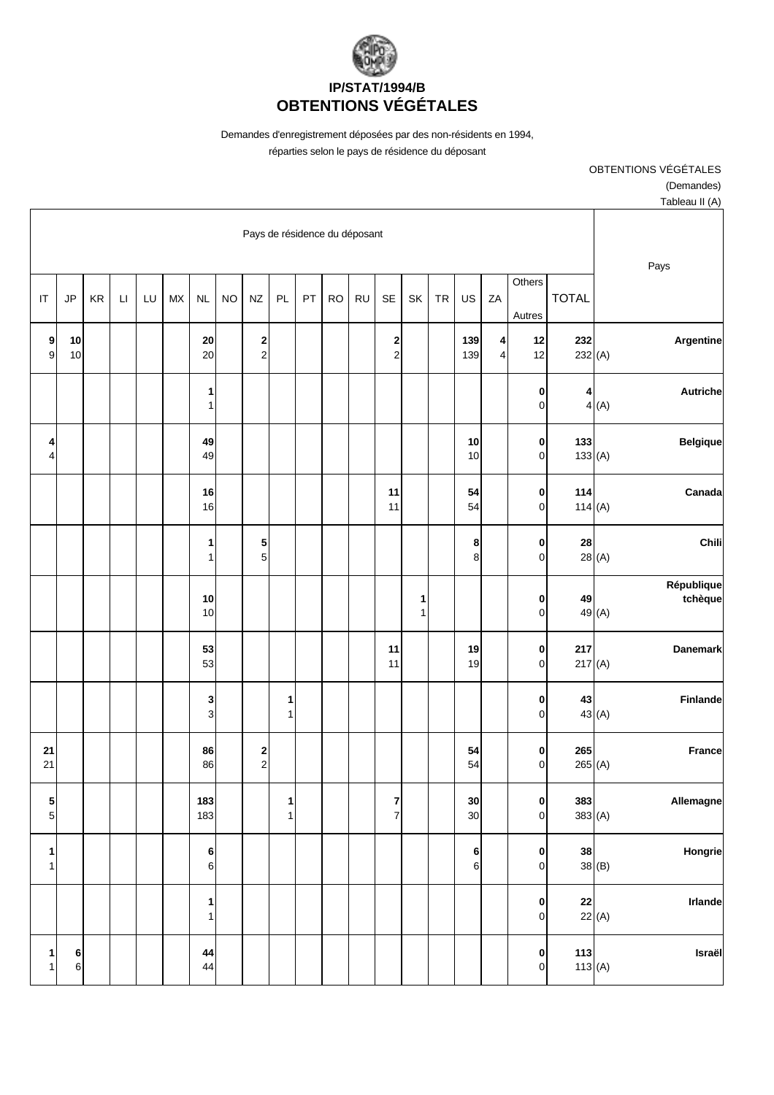

Demandes d'enregistrement déposées par des non-résidents en 1994,

réparties selon le pays de résidence du déposant

OBTENTIONS VÉGÉTALES

(Demandes)

| Tableau II (A)                                                  |                  |                          |                     |            |            |                   |                     |                               |           |    |                   |                     |           |                   |                  |    |          |    |               |                        |
|-----------------------------------------------------------------|------------------|--------------------------|---------------------|------------|------------|-------------------|---------------------|-------------------------------|-----------|----|-------------------|---------------------|-----------|-------------------|------------------|----|----------|----|---------------|------------------------|
| Pays                                                            |                  |                          |                     |            |            |                   |                     | Pays de résidence du déposant |           |    |                   |                     |           |                   |                  |    |          |    |               |                        |
|                                                                 | <b>TOTAL</b>     | Others<br>Autres         | ZA                  | US         | ${\sf TR}$ | SK                | SE                  | <b>RU</b>                     | <b>RO</b> | PT | PL                | <b>NZ</b>           | <b>NO</b> | NL                | ${\sf M}{\sf X}$ | LU | $\sqcup$ | KR | $\mathsf{JP}$ | $\mathsf{I}\mathsf{T}$ |
| Argentine                                                       | 232<br>232(A)    | 12<br>12                 | 4<br>$\overline{4}$ | 139<br>139 |            |                   | 2<br>$\overline{c}$ |                               |           |    |                   | 2<br>$\overline{c}$ |           | 20<br>20          |                  |    |          |    | 10<br>10      | 9<br>9                 |
| Autriche<br>4(A)                                                | 4                | 0<br>$\pmb{0}$           |                     |            |            |                   |                     |                               |           |    |                   |                     |           | 1<br>1            |                  |    |          |    |               |                        |
| <b>Belgique</b>                                                 | 133<br>133(A)    | 0<br>$\mathbf 0$         |                     | 10<br>10   |            |                   |                     |                               |           |    |                   |                     |           | 49<br>49          |                  |    |          |    |               | 4<br>4                 |
| Canada                                                          | 114<br>114 $(A)$ | $\pmb{0}$<br>$\mathbf 0$ |                     | 54<br>54   |            |                   | 11<br>11            |                               |           |    |                   |                     |           | 16<br>16          |                  |    |          |    |               |                        |
| Chili<br>28(A)                                                  | 28               | $\pmb{0}$<br>$\pmb{0}$   |                     | 8<br>8     |            |                   |                     |                               |           |    |                   | 5<br>5 <sup>1</sup> |           | 1<br>$\mathbf{1}$ |                  |    |          |    |               |                        |
| République<br>tchèque<br>49 (A)                                 | 49               | $\pmb{0}$<br>$\mathbf 0$ |                     |            |            | 1<br>$\mathbf{1}$ |                     |                               |           |    |                   |                     |           | 10<br>10          |                  |    |          |    |               |                        |
| Danemark                                                        | 217<br>217(A)    | $\mathbf 0$<br>$\pmb{0}$ |                     | 19<br>19   |            |                   | 11<br>11            |                               |           |    |                   |                     |           | 53<br>53          |                  |    |          |    |               |                        |
| <b>Finlande</b><br>43 (A)                                       | 43               | 0<br>$\pmb{0}$           |                     |            |            |                   |                     |                               |           |    | 1<br>$\mathbf{1}$ |                     |           | 3<br>3            |                  |    |          |    |               |                        |
| <b>France</b>                                                   | 265<br>265 (A)   | 0<br>$\mathbf 0$         |                     | 54<br>54   |            |                   |                     |                               |           |    |                   | 2<br>$\overline{c}$ |           | 86<br>86          |                  |    |          |    |               | 21<br>21               |
| Allemagne                                                       | 383<br>383(A)    | 0<br>$\mathbf 0$         |                     | 30<br>30   |            |                   | 7<br>$\overline{7}$ |                               |           |    | 1<br>$\mathbf{1}$ |                     |           | 183<br>183        |                  |    |          |    |               | 5<br>$\overline{5}$    |
| Hongrie<br>38(B)                                                | 38               | 0<br>$\pmb{0}$           |                     | 6<br>6     |            |                   |                     |                               |           |    |                   |                     |           | 6<br>$\,6$        |                  |    |          |    |               | 1<br>1                 |
| <b>Irlande</b><br>$\begin{array}{c c} 22 \\ 22 \end{array}$ (A) |                  | 0<br>$\mathbf 0$         |                     |            |            |                   |                     |                               |           |    |                   |                     |           | 1<br>$\mathbf 1$  |                  |    |          |    |               |                        |
| Israël<br>113(A)                                                | 113              | $\pmb{0}$<br>$\mathbf 0$ |                     |            |            |                   |                     |                               |           |    |                   |                     |           | 44<br>44          |                  |    |          |    | 6<br>$\,6$    | 1<br>1                 |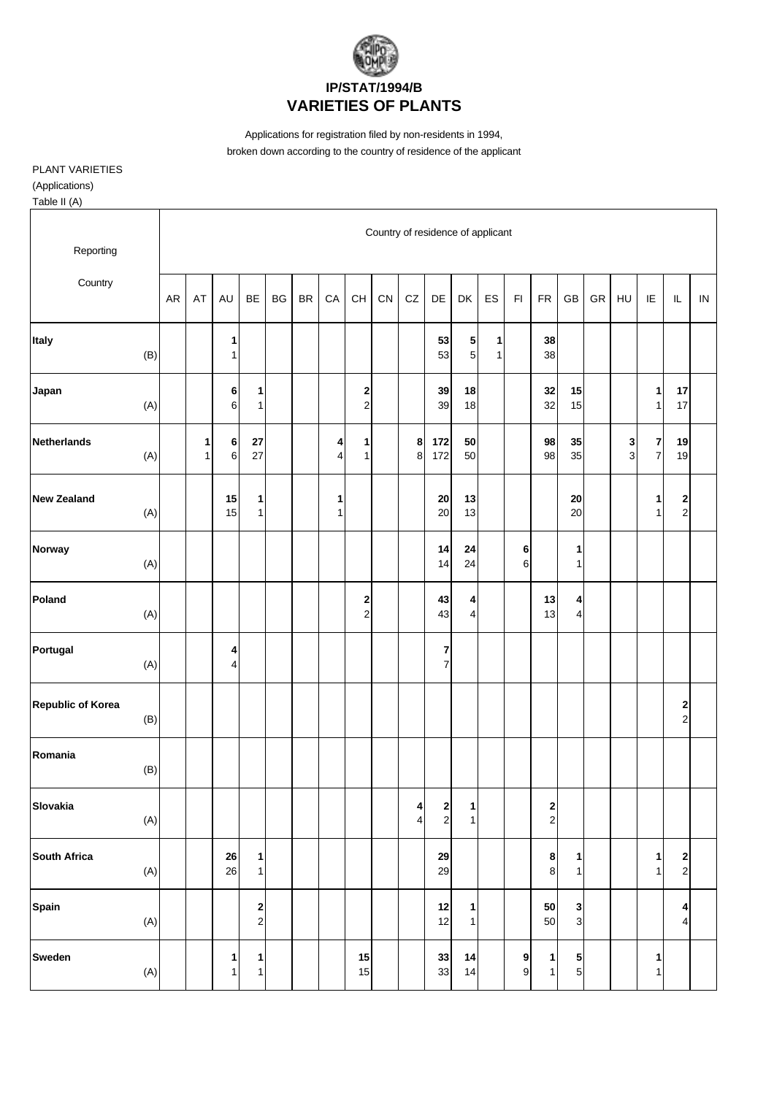

## **VARIETIES OF PLANTS**

Applications for registration filed by non-residents in 1994, broken down according to the country of residence of the applicant

PLANT VARIETIES

(Applications)

Table II (A)

| Reporting                |       |    |        |                   |                              |    |           |            |                                          |    |                     |                                    | Country of residence of applicant |                   |                       |                                       |                     |    |        |                                    |                  |            |
|--------------------------|-------|----|--------|-------------------|------------------------------|----|-----------|------------|------------------------------------------|----|---------------------|------------------------------------|-----------------------------------|-------------------|-----------------------|---------------------------------------|---------------------|----|--------|------------------------------------|------------------|------------|
| Country                  |       | AR | AT     | AU                | <b>BE</b>                    | BG | <b>BR</b> | ${\sf CA}$ | $\mathsf{CH}% \left( \mathcal{M}\right)$ | CN | ${\rm CZ}$          | DE                                 | DK                                | ES                | $\mathsf{FI}$         | ${\sf FR}$                            | GB                  | GR | HU     | IE                                 | $\mathsf{IL}$    | ${\sf IN}$ |
| Italy                    | (B)   |    |        | 1<br>$\mathbf{1}$ |                              |    |           |            |                                          |    |                     | 53<br>53                           | 5<br>5 <sup>1</sup>               | 1<br>$\mathbf{1}$ |                       | 38<br>38                              |                     |    |        |                                    |                  |            |
| Japan                    | (A)   |    |        | 6<br>6            | 1<br>1                       |    |           |            | $\mathbf{2}$<br>$\overline{a}$           |    |                     | 39<br>39                           | 18<br>18                          |                   |                       | 32<br>32                              | 15<br>15            |    |        | $\mathbf{1}$<br>$\mathbf{1}$       | 17<br>17         |            |
| <b>Netherlands</b>       | (A)   |    | 1<br>1 | 6<br>6            | ${\bf 27}$<br>27             |    |           | 4<br>4     | 1<br>$\mathbf{1}$                        |    | 8<br>8              | 172<br>172                         | 50<br>50                          |                   |                       | 98<br>98                              | 35<br>35            |    | 3<br>3 | $\bf 7$<br>$\overline{\mathbf{7}}$ | 19<br>19         |            |
| <b>New Zealand</b>       | (A)   |    |        | 15<br>15          | $\mathbf{1}$<br>$\mathbf{1}$ |    |           | 1<br>1     |                                          |    |                     | ${\bf 20}$<br>20                   | 13<br>13                          |                   |                       |                                       | 20<br>20            |    |        | 1<br>$\mathbf{1}$                  | 2<br>$\mathbf 2$ |            |
| Norway                   | (A)   |    |        |                   |                              |    |           |            |                                          |    |                     | 14<br>14                           | 24<br>24                          |                   | 6<br>6                |                                       | 1<br>1              |    |        |                                    |                  |            |
| Poland                   | (A)   |    |        |                   |                              |    |           |            | 2<br>$\overline{c}$                      |    |                     | 43<br>43                           | 4<br>4                            |                   |                       | 13<br>13                              | 4<br>$\overline{4}$ |    |        |                                    |                  |            |
| Portugal                 | (A)   |    |        | 4<br>4            |                              |    |           |            |                                          |    |                     | 7<br>$\boldsymbol{7}$              |                                   |                   |                       |                                       |                     |    |        |                                    |                  |            |
| <b>Republic of Korea</b> | (B)   |    |        |                   |                              |    |           |            |                                          |    |                     |                                    |                                   |                   |                       |                                       |                     |    |        |                                    | 2<br>$\mathbf 2$ |            |
| Romania                  | (B)   |    |        |                   |                              |    |           |            |                                          |    |                     |                                    |                                   |                   |                       |                                       |                     |    |        |                                    |                  |            |
| Slovakia                 | (A)   |    |        |                   |                              |    |           |            |                                          |    | 4<br>$\overline{4}$ | $\begin{array}{c} \n2 \end{array}$ | $1\vert$<br>$\mathbf{1}$          |                   |                       | $\begin{array}{c} 2 \\ 2 \end{array}$ |                     |    |        |                                    |                  |            |
| South Africa             | (A)   |    |        | ${\bf 26}$<br>26  | $\mathbf{1}$<br>$\mathbf{1}$ |    |           |            |                                          |    |                     | 29<br>29                           |                                   |                   |                       | 8<br>8                                | 1<br>1              |    |        | 1<br>$\mathbf{1}$                  | 2<br>$\mathbf 2$ |            |
| Spain                    | (A)   |    |        |                   | $\mathbf{2}$<br>$\mathbf{2}$ |    |           |            |                                          |    |                     | 12<br>12                           | 1<br>1                            |                   |                       | 50<br>50                              | 3<br>$\mathbf{3}$   |    |        |                                    | 4<br>4           |            |
| Sweden                   | $(A)$ |    |        | 1<br>1            | 1<br>$\mathbf{1}$            |    |           |            | 15<br>15                                 |    |                     | 33<br>33                           | 14<br>14                          |                   | 9<br>$\boldsymbol{9}$ | 1<br>$\mathbf{1}$                     | 5<br>5 <sub>l</sub> |    |        | 1<br>$\mathbf{1}$                  |                  |            |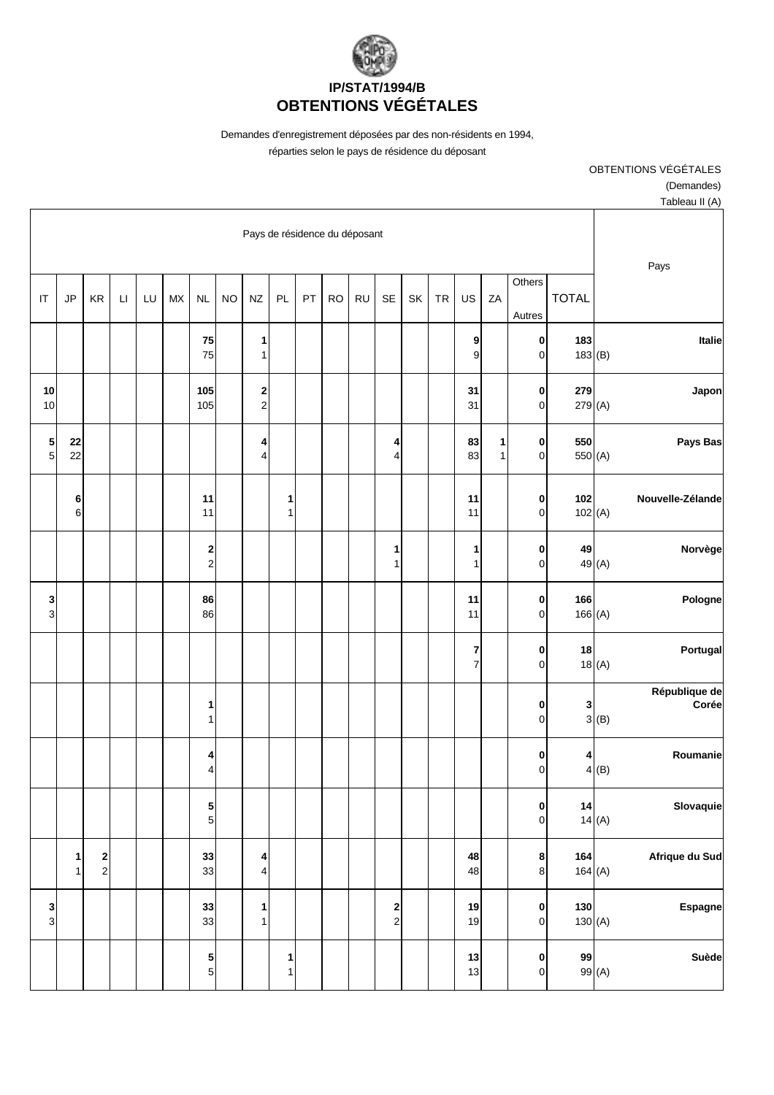

Demandes d'enregistrement déposées par des non-résidents en 1994,

réparties selon le pays de résidence du déposant

OBTENTIONS VÉGÉTALES

(Demandes)

| Tableau II (A)                 |                           |                                |                   |                             |    |    |                                                    |           |           |    |                               |                     |           |                     |    |    |                        |                                        |                   |                  |
|--------------------------------|---------------------------|--------------------------------|-------------------|-----------------------------|----|----|----------------------------------------------------|-----------|-----------|----|-------------------------------|---------------------|-----------|---------------------|----|----|------------------------|----------------------------------------|-------------------|------------------|
| Pays                           |                           |                                |                   |                             |    |    |                                                    |           |           |    | Pays de résidence du déposant |                     |           |                     |    |    |                        |                                        |                   |                  |
|                                | <b>TOTAL</b>              | Others<br>Autres               | ZA                | US                          | TR | SK | SE                                                 | <b>RU</b> | <b>RO</b> | PT | PL                            | <b>NZ</b>           | <b>NO</b> | $\sf NL$            | MX | LU | $\mathsf{L}\mathsf{I}$ | KR                                     | JP                | IT               |
| Italie                         | 183<br>183(B)             | $\mathbf 0$<br>$\overline{0}$  |                   | 9<br>9                      |    |    |                                                    |           |           |    |                               | 1<br>1              |           | 75<br>75            |    |    |                        |                                        |                   |                  |
| Japon                          | 279<br>279 (A)            | $\mathbf{0}$<br>$\overline{0}$ |                   | 31<br>31                    |    |    |                                                    |           |           |    |                               | 2<br>$\overline{a}$ |           | 105<br>105          |    |    |                        |                                        |                   | ${\bf 10}$<br>10 |
| Pays Bas                       | 550<br>550 <sub>(A)</sub> | $\mathbf 0$<br>$\overline{0}$  | 1<br>$\mathbf{1}$ | 83<br>83                    |    |    | 4<br>$\overline{4}$                                |           |           |    |                               | 4<br>4              |           |                     |    |    |                        |                                        | 22<br>22          | $\frac{5}{5}$    |
| Nouvelle-Zélande               | 102<br>102(A)             | $\mathbf 0$<br>$\mathbf 0$     |                   | 11<br>11                    |    |    |                                                    |           |           |    | 1<br>$\mathbf{1}$             |                     |           | 11<br>11            |    |    |                        |                                        | 6<br>6            |                  |
| Norvège<br>49 (A)              | 49                        | $\mathbf 0$<br>$\mathbf 0$     |                   | 1<br>$\mathbf{1}$           |    |    | 1<br>$\mathbf{1}$                                  |           |           |    |                               |                     |           | 2<br>$\overline{a}$ |    |    |                        |                                        |                   |                  |
| Pologne                        | 166<br>166(A)             | $\mathbf 0$<br>$\pmb{0}$       |                   | 11<br>11                    |    |    |                                                    |           |           |    |                               |                     |           | 86<br>86            |    |    |                        |                                        |                   | $\frac{3}{3}$    |
| Portugal<br>18(A)              | 18                        | $\mathbf 0$<br>$\overline{0}$  |                   | $\bf 7$<br>$\boldsymbol{7}$ |    |    |                                                    |           |           |    |                               |                     |           |                     |    |    |                        |                                        |                   |                  |
| République de<br>Corée<br>3(B) | 3                         | $\pmb{0}$<br>$\overline{0}$    |                   |                             |    |    |                                                    |           |           |    |                               |                     |           | 1<br>$\mathbf{1}$   |    |    |                        |                                        |                   |                  |
| Roumanie<br>4(B)               | 4                         | 0<br>$\mathbf 0$               |                   |                             |    |    |                                                    |           |           |    |                               |                     |           | 4<br>4              |    |    |                        |                                        |                   |                  |
| Slovaquie<br>14(A)             | 14                        | $\mathbf{0}$<br>$\mathbf 0$    |                   |                             |    |    |                                                    |           |           |    |                               |                     |           | 5<br>5              |    |    |                        |                                        |                   |                  |
| Afrique du Sud                 | 164<br>164(A)             | 8<br>$\bf{8}$                  |                   | 48<br>48                    |    |    |                                                    |           |           |    |                               | 4<br>4              |           | 33<br>33            |    |    |                        | $\overline{\mathbf{c}}$<br>$\mathbf 2$ | 1<br>$\mathbf{1}$ |                  |
| <b>Espagne</b>                 | 130<br>130(A)             | $\mathbf{0}$<br>$\overline{0}$ |                   | $19$<br>19                  |    |    | $\overline{\mathbf{c}}$<br>$\overline{\mathbf{c}}$ |           |           |    |                               | 1<br>$\mathbf{1}$   |           | 33<br>33            |    |    |                        |                                        |                   | $\frac{3}{3}$    |
| Suède<br>99 (A)                | 99                        | $\pmb{0}$<br>$\overline{0}$    |                   | 13<br>13                    |    |    |                                                    |           |           |    | 1<br>$\mathbf{1}$             |                     |           | 5<br>5              |    |    |                        |                                        |                   |                  |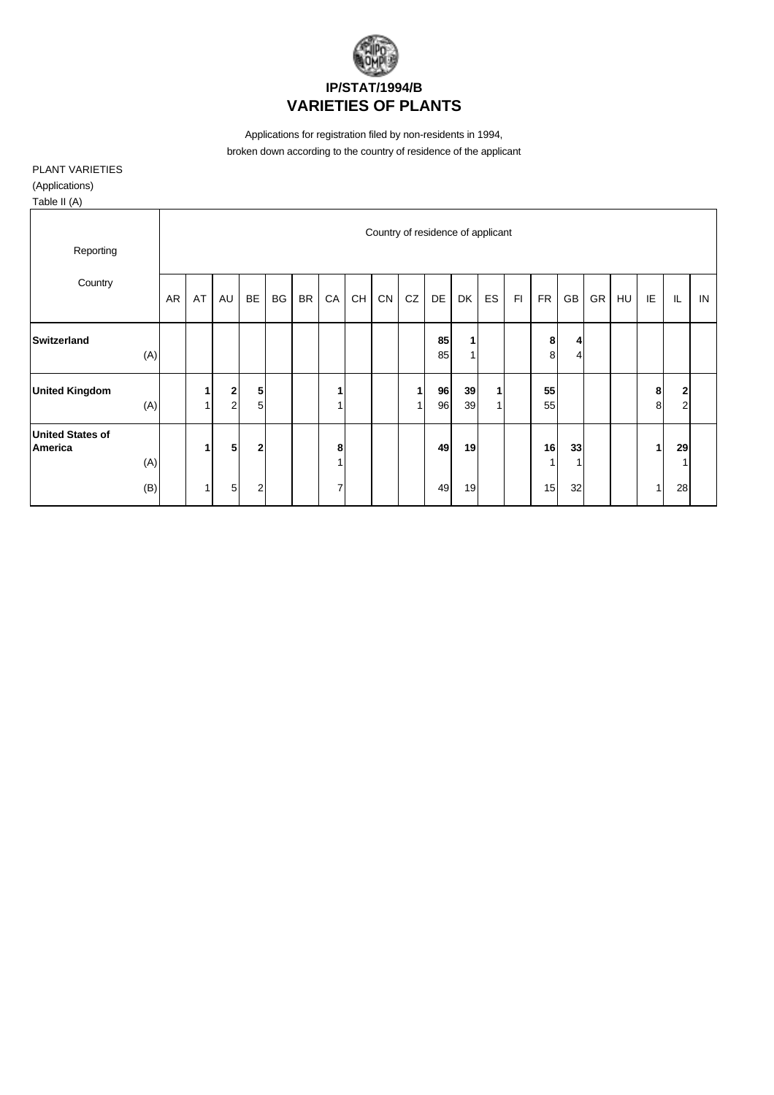

Applications for registration filed by non-residents in 1994, broken down according to the country of residence of the applicant

PLANT VARIETIES

(Applications)

Table II (A)

| Reporting                          |            |                                      |                     |                               |           |           |                          |    |    | Country of residence of applicant |          |          |    |    |                            |          |           |    |        |                                |    |
|------------------------------------|------------|--------------------------------------|---------------------|-------------------------------|-----------|-----------|--------------------------|----|----|-----------------------------------|----------|----------|----|----|----------------------------|----------|-----------|----|--------|--------------------------------|----|
| Country                            | AR         | AT                                   | AU                  | <b>BE</b>                     | <b>BG</b> | <b>BR</b> | ${\sf CA}$               | CH | CN | CZ                                | DE       | DK       | ES | F1 | <b>FR</b>                  | GB       | <b>GR</b> | HU | IE     | IL                             | IN |
| Switzerland                        | (A)        |                                      |                     |                               |           |           |                          |    |    |                                   | 85<br>85 | 1<br>1   |    |    | 8<br>8                     | 4<br>4   |           |    |        |                                |    |
| <b>United Kingdom</b>              | (A)        | $\blacktriangleleft$<br>$\mathbf{1}$ | 2<br>$\overline{a}$ | 5<br>5                        |           |           | 1<br>1                   |    |    | 4                                 | 96<br>96 | 39<br>39 | 4  |    | 55<br>55                   |          |           |    | 8<br>8 | $\mathbf{2}$<br>$\overline{2}$ |    |
| <b>United States of</b><br>America | (A)<br>(B) | $\mathbf{1}$<br>$\mathbf{1}$         | 5<br>5              | $\mathbf 2$<br>$\overline{2}$ |           |           | 8<br>4<br>$\overline{7}$ |    |    |                                   | 49<br>49 | 19<br>19 |    |    | 16<br>$\overline{1}$<br>15 | 33<br>32 |           |    | 1      | 29<br>28                       |    |